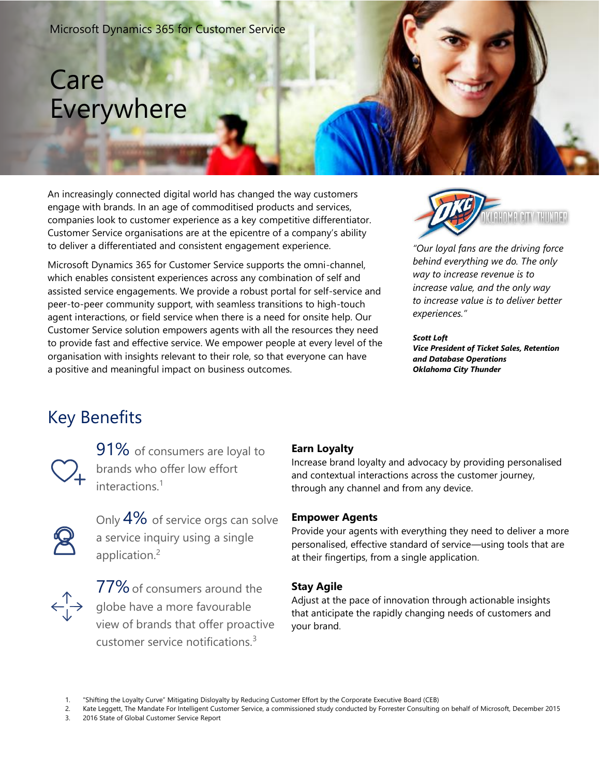#### Microsoft Dynamics 365 for Customer Service

## Care Everywhere

An increasingly connected digital world has changed the way customers engage with brands. In an age of commoditised products and services, companies look to customer experience as a key competitive differentiator. Customer Service organisations are at the epicentre of a company's ability to deliver a differentiated and consistent engagement experience.

Microsoft Dynamics 365 for Customer Service supports the omni-channel, which enables consistent experiences across any combination of self and assisted service engagements. We provide a robust portal for self-service and peer-to-peer community support, with seamless transitions to high-touch agent interactions, or field service when there is a need for onsite help. Our Customer Service solution empowers agents with all the resources they need to provide fast and effective service. We empower people at every level of the organisation with insights relevant to their role, so that everyone can have a positive and meaningful impact on business outcomes.



*"Our loyal fans are the driving force behind everything we do. The only way to increase revenue is to increase value, and the only way to increase value is to deliver better experiences."*

*Scott Loft Vice President of Ticket Sales, Retention and Database Operations Oklahoma City Thunder*

### Key Benefits



91% of consumers are loyal to brands who offer low effort interactions<sup>1</sup>



Only 4% of service orgs can solve a service inquiry using a single application.<sup>2</sup>



77% of consumers around the globe have a more favourable view of brands that offer proactive customer service notifications.<sup>3</sup>

#### **Earn Loyalty**

Increase brand loyalty and advocacy by providing personalised and contextual interactions across the customer journey, through any channel and from any device.

#### **Empower Agents**

Provide your agents with everything they need to deliver a more personalised, effective standard of service—using tools that are at their fingertips, from a single application.

#### **Stay Agile**

Adjust at the pace of innovation through actionable insights that anticipate the rapidly changing needs of customers and your brand.

<sup>1.</sup> "Shifting the Loyalty Curve" Mitigating Disloyalty by Reducing Customer Effort by the Corporate Executive Board (CEB)

<sup>2.</sup> Kate Leggett, The Mandate For Intelligent Customer Service, a commissioned study conducted by Forrester Consulting on behalf of Microsoft, December 2015

<sup>3.</sup> 2016 State of Global Customer Service Report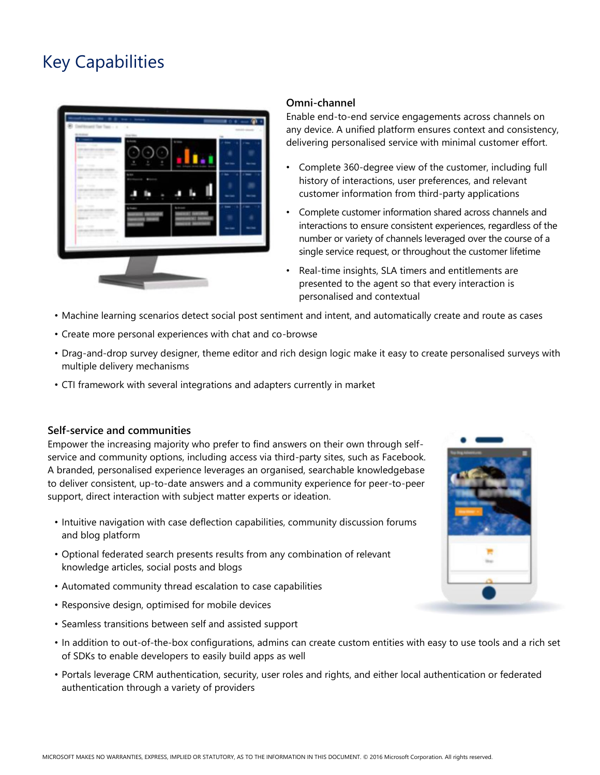### Key Capabilities



#### **Omni-channel**

Enable end-to-end service engagements across channels on any device. A unified platform ensures context and consistency, delivering personalised service with minimal customer effort.

- Complete 360-degree view of the customer, including full history of interactions, user preferences, and relevant customer information from third-party applications
- Complete customer information shared across channels and interactions to ensure consistent experiences, regardless of the number or variety of channels leveraged over the course of a single service request, or throughout the customer lifetime
- Real-time insights, SLA timers and entitlements are presented to the agent so that every interaction is personalised and contextual
- Machine learning scenarios detect social post sentiment and intent, and automatically create and route as cases
- Create more personal experiences with chat and co-browse
- Drag-and-drop survey designer, theme editor and rich design logic make it easy to create personalised surveys with multiple delivery mechanisms
- CTI framework with several integrations and adapters currently in market

#### **Self-service and communities**

Empower the increasing majority who prefer to find answers on their own through selfservice and community options, including access via third-party sites, such as Facebook. A branded, personalised experience leverages an organised, searchable knowledgebase to deliver consistent, up-to-date answers and a community experience for peer-to-peer support, direct interaction with subject matter experts or ideation.

- Intuitive navigation with case deflection capabilities, community discussion forums and blog platform
- Optional federated search presents results from any combination of relevant knowledge articles, social posts and blogs
- Automated community thread escalation to case capabilities
- Responsive design, optimised for mobile devices
- Seamless transitions between self and assisted support
- In addition to out-of-the-box configurations, admins can create custom entities with easy to use tools and a rich set of SDKs to enable developers to easily build apps as well
- Portals leverage CRM authentication, security, user roles and rights, and either local authentication or federated authentication through a variety of providers

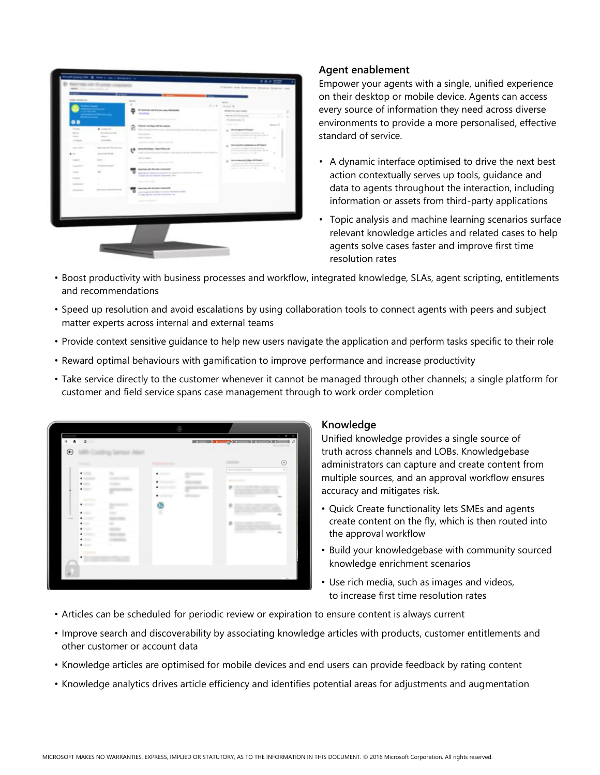

#### **Agent enablement**

Empower your agents with a single, unified experience on their desktop or mobile device. Agents can access every source of information they need across diverse environments to provide a more personalised, effective standard of service.

- A dynamic interface optimised to drive the next best action contextually serves up tools, guidance and data to agents throughout the interaction, including information or assets from third-party applications
- Topic analysis and machine learning scenarios surface relevant knowledge articles and related cases to help agents solve cases faster and improve first time resolution rates
- Boost productivity with business processes and workflow, integrated knowledge, SLAs, agent scripting, entitlements and recommendations
- Speed up resolution and avoid escalations by using collaboration tools to connect agents with peers and subject matter experts across internal and external teams
- Provide context sensitive guidance to help new users navigate the application and perform tasks specific to their role
- Reward optimal behaviours with gamification to improve performance and increase productivity
- Take service directly to the customer whenever it cannot be managed through other channels; a single platform for customer and field service spans case management through to work order completion

|                                                   |                   | ۸                             |                                         | $\sigma - \times$<br>$\sim$ |
|---------------------------------------------------|-------------------|-------------------------------|-----------------------------------------|-----------------------------|
| 2<br>■ ★<br>$\odot$                               |                   |                               | $\begin{array}{ccc} \hline \end{array}$ | $\blacksquare$              |
| <b>Statement</b>                                  | to harroom shares |                               | comments.                               | $_{\odot}$                  |
| $\blacksquare$<br><b>Statement</b><br>٠           | ÷                 | <b>SEPTEM</b><br>٠            | decoration and of                       | $\mathbb{R}$                |
| $\bullet$<br>$\bullet$                            |                   |                               | <b>Commercial</b><br>固                  |                             |
| <b>COMMERCIAL</b><br><b>SERVICE</b><br>۰          |                   | concent.<br>٠<br>differences. |                                         | cto                         |
| 2.0001<br>۰                                       |                   | $\bullet$                     | B                                       | cto                         |
| $\bullet$<br><b>COL</b><br>$\bullet$<br>$\bullet$ | $\sim$            |                               | 圆                                       |                             |
| $\bullet$<br>$\bullet$                            |                   |                               |                                         | cu                          |
| $\bullet$ . The set<br>comments.                  | ٠                 |                               |                                         |                             |
| <b>SERVICE</b><br>٠                               |                   |                               |                                         |                             |
| ä                                                 |                   |                               |                                         |                             |
|                                                   |                   |                               |                                         |                             |

#### **Knowledge**

Unified knowledge provides a single source of truth across channels and LOBs. Knowledgebase administrators can capture and create content from multiple sources, and an approval workflow ensures accuracy and mitigates risk.

- Quick Create functionality lets SMEs and agents create content on the fly, which is then routed into the approval workflow
- Build your knowledgebase with community sourced knowledge enrichment scenarios
- Use rich media, such as images and videos, to increase first time resolution rates
- Articles can be scheduled for periodic review or expiration to ensure content is always current
- Improve search and discoverability by associating knowledge articles with products, customer entitlements and other customer or account data
- Knowledge articles are optimised for mobile devices and end users can provide feedback by rating content
- Knowledge analytics drives article efficiency and identifies potential areas for adjustments and augmentation